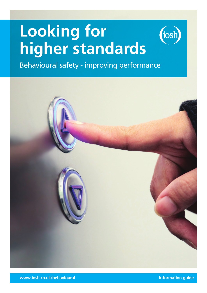# **Looking for higher standards**



Behavioural safety - improving performance

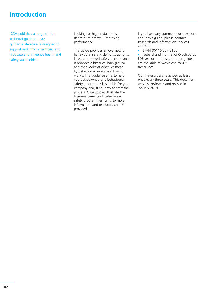## **Introduction**

IOSH publishes a range of free technical guidance. Our guidance literature is designed to support and inform members and motivate and influence health and safety stakeholders.

Looking for higher standards. Behavioural safety – improving performance

This guide provides an overview of behavioural safety, demonstrating its links to improved safety performance. It provides a historical background and then looks at what we mean by behavioural safety and how it works. The guidance aims to help you decide whether a behavioural safety programme is suitable for your company and, if so, how to start the process. Case studies illustrate the business benefits of behavioural safety programmes. Links to more information and resources are also provided.

If you have any comments or questions about this guide, please contact Research and Information Services at IOSH:

 $\div$  t +44 (0)116 257 3100

- researchandinformation@iosh.co.uk PDF versions of this and other guides are available at www.iosh.co.uk/ freeguides

Our materials are reviewed at least once every three years. This document was last reviewed and revised in January 2018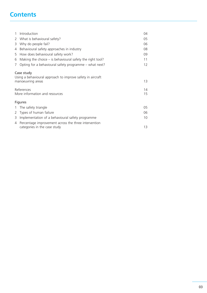# **Contents**

| $\mathbf{1}$                                                                                  | Introduction                                                                         | 04       |
|-----------------------------------------------------------------------------------------------|--------------------------------------------------------------------------------------|----------|
| 2                                                                                             | What is behavioural safety?                                                          | 05       |
| 3                                                                                             | Why do people fail?                                                                  | 06       |
| 4                                                                                             | Behavioural safety approaches in industry                                            | 08       |
| 5                                                                                             | How does behavioural safety work?                                                    | 09       |
| 6                                                                                             | Making the choice $-$ is behavioural safety the right tool?                          | 11       |
| 7                                                                                             | Opting for a behavioural safety programme – what next?                               | 12       |
| Case study<br>Using a behavioural approach to improve safety in aircraft<br>manoeuvring areas |                                                                                      | 13       |
| References<br>More information and resources                                                  |                                                                                      | 14<br>15 |
| <b>Figures</b>                                                                                |                                                                                      |          |
| 1                                                                                             | The safety triangle                                                                  | 05       |
| 2                                                                                             | Types of human failure                                                               | 06       |
| 3                                                                                             | Implementation of a behavioural safety programme                                     | 10       |
| 4                                                                                             | Percentage improvement across the three intervention<br>categories in the case study | 13       |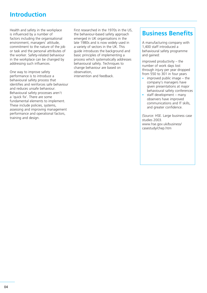## **Introduction**

Health and safety in the workplace is influenced by a number of factors including the organisational environment, managers' attitude, commitment to the nature of the job or task and the personal attributes of the worker. Safety-related behaviour in the workplace can be changed by addressing such influences.

One way to improve safety performance is to introduce a behavioural safety process that identifies and reinforces safe behaviour and reduces unsafe behaviour. Behavioural safety processes aren't a 'quick fix'. There are some fundamental elements to implement. These include policies, systems, assessing and improving management performance and operational factors, training and design.

First researched in the 1970s in the US, the behaviour-based safety approach emerged in UK organisations in the late 1980s and is now widely used in a variety of sectors in the UK. This guide introduces the background and basic principles of implementing a process which systematically addresses behavioural safety. Techniques to change behaviour are based on observation, intervention and feedback.

# **Business Benefits**

A manufacturing company with 1,400 staff introduced a behavioural safety programme and gained:

improved productivity – the number of work days lost through injury per year dropped from 550 to 301 in four years

- improved public image  $-$  the company's managers have given presentations at major behavioural safety conferences
- $-$  staff development many observers have improved communications and IT skills, and greater confidence.

(Source: HSE. Large business case studies 2003. www.hse.gov.uk/business/ casestudy/chep.htm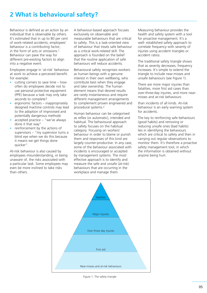Behaviour is defined as an action by an individual that is observable by others. It's estimated that in up to 80 per cent of work-related accidents, employees' behaviour is a contributing factor, in the form of acts or omissions.1 Behaviour can pave the way for different pre-existing factors to align into a negative event.

Employees engage in 'at-risk' behaviour at work to achieve a perceived benefit. For example:

- cutting corners to save time  $-$  how often do employees decide not to use personal protective equipment (PPE) because a task may only take seconds to complete?
- ergonomic factors inappropriately designed machine controls may lead to the adoption of improvised and potentially dangerous methods
- $\bar{a}$  accepted practice "we've always done it that way"
- reinforcement by the actions of supervisors – "my supervisor turns a blind eye when we do this because it means we get things done quicker".

At-risk behaviour is also caused by employees misunderstanding, or being unaware of, the risks associated with a particular task. Some employees may even be more inclined to take risks than others.

A behaviour-based approach focuses exclusively on observable and measurable behaviours that are critical to safety. This is a task-oriented view of behaviour that treats safe behaviour as a critical work-related skill. The approach is founded on the belief that the routine application of safe behaviours will reduce accidents.

Behavioural safety recognises workers as human beings with a genuine interest in their own wellbeing, who contribute best when they engage and take ownership. The human element means that desired results are rarely instantaneous and require different management arrangements to complement proven engineered and procedural systems.2

Human behaviour can be categorised as reflex (or automatic), intended and habitual. The behavioural approach to safety focuses on the habitual category. Focusing on workers' behaviour in order to blame or punish them and responses of this kind are largely counter-productive. In any case, some of the behaviour associated with incidents is encouraged or accepted by management systems. The most effective approach is to identify and measure the safe and unsafe (at-risk) behaviours that are occurring in the workplace and manage them.

Measuring behaviour provides the health and safety system with a tool for proactive management. It's a well- established safety approach to correlate frequency with severity of injuries using accident triangles or accident ratios.

The traditional safety triangle shows that as severity decreases, frequency increases. It's simple to extend the triangle to include near-misses and unsafe behaviours (see Figure 1).

There are more major injuries than fatalities, more first aid cases than over-three-day injuries, and more nearmisses and at-risk behaviours

than incidents of all kinds. At-risk behaviour is an early warning system for accidents.

The key to reinforcing safe behaviours (good habits) and removing or reducing unsafe ones (bad habits) lies in identifying the behaviours which are critical to safety and then in carrying out regular observations to monitor them. It's therefore a proactive safety management tool, in which the information is obtained without anyone being hurt.



Figure 1: The safety triangle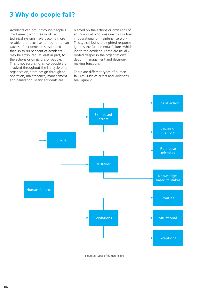# **3 Why do people fail?**

Accidents can occur through people's involvement with their work. As technical systems have become more reliable, the focus has turned to human causes of accidents. It is estimated that up to 80 per cent of accidents may be attributed, at least in part, to the actions or omissions of people. This is not surprising, since people are involved throughout the life cycle of an organisation, from design through to operation, maintenance, management and demolition. Many accidents are

blamed on the actions or omissions of an individual who was directly involved in operational or maintenance work. This typical but short-sighted response ignores the fundamental failures which led to the accident. These are usually rooted deeper in the organisation's design, management and decisionmaking functions.

There are different types of human failures, such as errors and violations: see Figure 2.



Figure 2: Types of human failure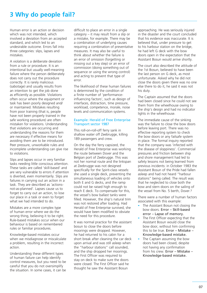## **3 Why do people fail?**

Human error is an action or decision which was not intended, which involved a deviation from an accepted standard, and which led to an undesirable outcome. Errors fall into three categories: slips, lapses and mistakes.

A violation is a deliberate deviation from a rule or procedure. It is an intentional but usually well-meaning failure where the person deliberately does not carry out the procedure correctly. It is rarely malicious (sabotage) and usually results from an intention to get the job done as efficiently as possible. Violations often occur where the equipment or task has been poorly designed and/ or maintained. Mistakes resulting from poor training (that is, people have not been properly trained in the safe working procedure) are often mistaken for violations. Understanding that violations are occurring and understanding the reasons for them are necessary if effective means for avoiding them are to be introduced. Peer pressure, unworkable rules and incomplete understanding can give rise to violations.

Slips and lapses occur in very familiar tasks needing little conscious attention. These tasks are called 'skill-based' and are very vulnerable to errors if attention is diverted, even momentarily. Slips are failures in carrying out an action in a task. They are described as 'actionsnot-as-planned'. Lapses cause us to forget to carry out an action, to lose our place in a task or even to forget what we had intended to do.

Mistakes are a more complex type of human error where we do the wrong thing, believing it to be right. Rule-based mistakes occur when our behaviour is based on remembered rules or familiar procedures.

Knowledge-based mistakes occur when we misdiagnose or miscalculate a problem, resulting in the incorrect action.

Understanding these different types of human failure can help identify control measures, but you need to be careful that you do not oversimplify the situation. In some cases, it can be

difficult to place an error in a single category – it may result from a slip or a mistake, for example. There may be a combination of underlying causes requiring a combination of preventative measures. It may also be useful to think about whether the failure is an error of omission (forgetting or missing out a key step) or an error of commission (doing something out of sequence or using the wrong control) and acting to prevent that type of error.

The likelihood of these human failures is determined by the condition of a finite number of 'performanceinfluencing factors', such as design of interfaces, distraction, time pressure, workload, competence, morale, noise levels and communication systems.

### Example: Herald of Free Enterprise Transport sector 1987

This roll-on-roll-off ferry sank in shallow water off Zeebrugge, killing 189 passengers and crew.

On the day the ferry capsized, the Herald of Free Enterprise was working the route between Dover and the Belgian port of Zeebrugge. This was not her normal route and the linkspan at Zeebrugge was not designed specifically for the Spirit-class vessels: she used a single deck, preventing the simultaneous loading of vehicles onto both E and G decks, and the ramp could not be raised high enough to reach E deck. To compensate for this, the vessel's bow ballast tanks were filled. However, the ship's natural trim was not restored after loading. Had Herald of Free Enterprise survived, she would have been modified to obviate the need for this procedure.

It was normal practice for the assistant bosun to close the doors before moorings were dropped. However, he had returned to his cabin for a short break after cleaning the car deck upon arrival and was still asleep when the "harbour stations" call sounded, and the ship dropped her moorings. The First Officer was required to stay on deck to make sure the doors were closed. The First Officer said he thought he saw the Assistant Bosun

approaching. He was seriously injured in the disaster and the court concluded that his evidence was inaccurate. It is believed that, under pressure to get to his harbour station on the bridge, he had left G deck with the bow doors open in the expectation that the Assistant Bosun would arrive shortly.

The court also described the attitude of the 1st Bosun, believed to have been the last person on G deck, as most unfortunate. Asked why he did not close the doors given there was no one else there to do it, he said it was not his duty.

The Captain assumed that the doors had been closed since he could not see them from the wheelhouse owing to the ship's design and had no indicator lights in the wheelhouse.

The immediate cause of the sinking was the failure to close the bow doors before leaving port. There was no effective reporting system to check the bow doors or any failsafe system in place. The formal inquiry reported that the company was 'infected with the disease of sloppiness'. Commercial pressures and friction between ship and shore management had led to safety lessons not being learned from previous incidents: in October 1983 the Assistant Bosun of the Pride had fallen asleep and had not heard "harbour stations" being called. The result was that he neglected to close both the bow and stern doors on the sailing of the vessel from No. 5 berth, Dover.<sup>3</sup>

There were a number of human factors associated with this example:

- The Assistant Bosun not closing the bow doors. Error – Skill-based error – Lapse of memory.
- The First Officer expecting that the Assistant Bosun would close the bow door, without him confirming this to be true. Error  $-$  Mistake  $-$ Knowledge-based mistake.
- The Captain assuming the bow doors had been closed, despite not having any confirmation from his crew. Error – Mistake – Knowledge-based mistake.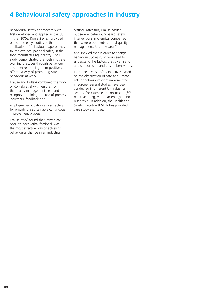Behavioural safety approaches were first developed and applied in the US in the 1970s. Komaki *et al*4 provided one of the early studies of the application of behavioural approaches to improve occupational safety in the food manufacturing industry. Their study demonstrated that defining safe working practices through behaviour and then reinforcing them positively offered a way of promoting safe behaviour at work.

Krause and Hidley5 combined the work of Komaki et al with lessons from the quality management field and recognised training, the use of process indicators, feedback and

employee participation as key factors for providing a sustainable continuous improvement process.

Krause *et al*6 found that immediate peer- to-peer verbal feedback was the most effective way of achieving behavioural change in an industrial

setting. After this, Krause carried out several behaviour- based safety interventions in chemical companies that were proponents of total quality management. Sulzer-Azaroff7

also showed that in order to change behaviour successfully, you need to understand the factors that give rise to and support safe and unsafe behaviours.

From the 1980s, safety initiatives based on the observation of safe and unsafe acts or behaviours were implemented in Europe. Several studies have been conducted in different UK industrial sectors, for example, in construction, 8,9 manufacturing,10 nuclear energy11 and research.12 In addition, the Health and Safety Executive (HSE)13 has provided case study examples.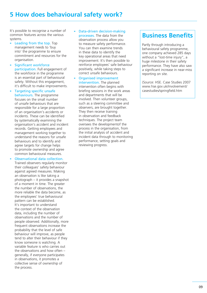# **5 How does behavioural safety work?**

It's possible to recognise a number of common features across the various systems.

- Leading from the top. Top management needs to 'buy into' the programme to ensure commitment and resources for the organisation
- Significant workforce participation. Full engagement of the workforce in the programme is an essential part of behavioural safety. Without this engagement, it's difficult to make improvements.
- Targeting specific unsafe behaviours. The programme focuses on the small number of unsafe behaviours that are responsible for a large proportion of an organisation's accidents or incidents. These can be identified by systematically examining the organisation's accident and incident records. Getting employees and management working together to understand the reasons for unsafe behaviours and to identify and agree targets for change helps to promote ownership and agree common behavioural measures.
- Observational data collection. Trained observers regularly monitor their colleagues' safety behaviour against agreed measures. Making an observation is like taking a photograph – it provides a snapshot of a moment in time. The greater the number of observations, the more reliable the data become, as the employees' true behavioural pattern can be established. It's important to understand the context of the observation data, including the number of observations and the number of people observed. Additionally, more frequent observations increase the probability that the level of safe behaviour will improve, as people tend to alter their behaviour if they know someone is watching. A variable feature is who carries out the observations and how often – generally, if everyone participates in observations, it promotes a collective sense of ownership of the process.
- Data-driven decision-making processes. The data from the observation process allow you to measure safety performance. You can then examine trends in these data to identify the key operational areas that need improvement. It's then possible to reinforce employees' safe behaviour positively, while taking steps to correct unsafe behaviours.
- Organised improvement intervention. The planned intervention often begins with briefing sessions in the work areas and departments that will be involved. Then volunteer groups, such as a steering committee and observers, are brought together. They then receive training in observation and feedback techniques. The project team oversees the developmentof the process in the organisation, from the initial analysis of accident and incident data through to monitoring performance, setting goals and reviewing progress.

# **Business Benefits**

Partly through introducing a behavioural safety programme, one company achieved 285 days without a "lost-time injury", a huge milestone in their safety performance. They have also saw a significant increase in near-miss reporting on site.

(Source: HSE. Case Studies 2007 www.hse.gov.uk/involvement/ casestudies/springfield.htm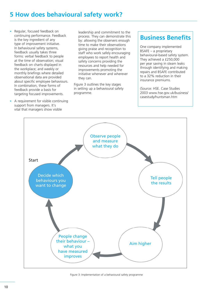# **5 How does behavioural safety work?**

- Regular, focused feedback on continuing performance. Feedback is the key ingredient of any type of improvement initiative. In behavioural safety systems, feedback usually takes three forms: verbal feedback to people at the time of observation; visual feedback on charts displayed in the workplace; and weekly or monthly briefings where detailed observational data are provided about specific employee behaviours. In combination, these forms of feedback provide a basis for targeting focused improvements.
- A requirement for visible continuing support from managers. It's vital that managers show visible

leadership and commitment to the process. They can demonstrate this by: allowing the observers enough time to make their observations giving praise and recognition to staff who work safely encouraging employees to report health and safety concerns providing the resources and help needed for improvements promoting the initiative whenever and wherever they can.

Figure 3 outlines the key stages in setting up a behavioural safety programme.

# **Business Benefits**

One company implemented BSAFE – a proprietary behavioural-based safety system. They achieved a £250,000 per year saving in steam leaks through identifying and making repairs and BSAFE contributed to a 32% reduction in their insurance premiums.

(Source: HSE. Case Studies 2003 www.hse.gov.uk/business/ casestudy/huntsman.htm

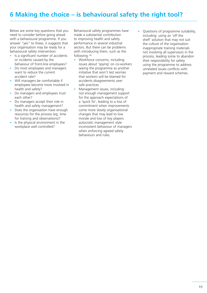# **6 Making the choice – is behavioural safety the right tool?**

Below are some key questions that you need to consider before going ahead with a behavioural programme. If you answer "yes" to these, it suggests that your organisation may be ready for a behavioural safety intervention.

- Is a significant number of accidents or incidents caused by the behaviour of front-line employees?
- Do most employees and managers want to reduce the current accident rate?
- Will managers be comfortable if employees become more involved in health and safety?
- Do managers and employees trust each other?
- Do managers accept their role in health and safety management?
- Does the organisation have enough resources for the process (eg, time for training and observations)?
- Is the physical environment in the workplace well controlled?

Behavioural safety programmes have made a substantial contribution to improving health and safety performance in several industrial sectors. But there can be problems with introducing them, such as the following.14

- Workforce concerns, including: issues about 'spying' on co-workers seeing the programme as another initiative that won't last worries that workers will be blamed for accidents disagreements over safe practices.
- Management issues, including: not enough management support for the approach expectations of a 'quick fix', leading to a loss of commitment when improvements come more slowly organisational changes that may lead to low morale and loss of key players autocratic management style inconsistent behaviour of managers when enforcing agreed safety behaviours and rules.
- Questions of programme suitability, including: using an 'off the shelf' solution that may not suit the culture of the organisation inappropriate training materials not involving all supervisors in the process, leading some to abandon their responsibility for safety using the programme to address unrelated issues conflicts with payment and reward schemes.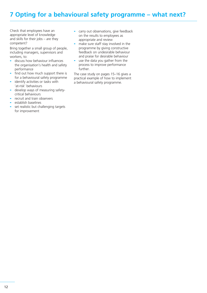# **7 Opting for a behavioural safety programme – what next?**

Check that employees have an appropriate level of knowledge and skills for their jobs – are they competent?

Bring together a small group of people, including managers, supervisors and workers, to:

- discuss how behaviour influences the organisation's health and safety performance
- find out how much support there is for a behavioural safety programme
- identify activities or tasks with 'at-risk' behaviours
- develop ways of measuring safetycritical behaviours
- recruit and train observers
- establish baselines
- set realistic but challenging targets for improvement
- carry out observations, give feedback on the results to employees as appropriate and review
- make sure staff stay involved in the programme by giving constructive feedback on undesirable behaviour and praise for desirable behaviour
- use the data you gather from the process to improve performance further.

The case study on pages 15–16 gives a practical example of how to implement a behavioural safety programme.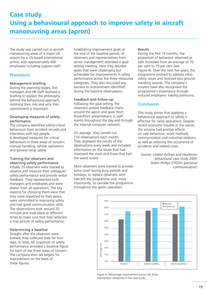# **Case study Using a behavioural approach to improve safety in aircraft manoeuvring areas (apron)**

The study was carried out in aircraft manoeuvring areas of a major UK airport for a US-based international airline, with approximately 400 employees including support staff.

## Procedure

### Management briefing

During the planning stages, line managers and HR staff received a briefing to explain the philosophy behind the behavioural approach, outlining their role and why their commitment is important.

## Developing measures of safety performance

The company identified safety-critical behaviours from accident records and interviews with key people. It developed measures for critical behaviours in three areas of concern: manual handling, vehicle operations and general ramp safety.

### Training the observers and observing safety performance

Initially 35 observers were trained to observe and measure their colleagues' safety performance and provide verbal feedback. They represented both managers and employees and were drawn from all operations. The key reasons for choosing them were that they were respected by their peers, were committed to improving safety and had good communication skills. The observations took around 20 minutes and took place at different times to make sure that they reflected a true picture of safety performance.

### Determining a baseline

Straight after the observers were trained, they collected data for four days. In total, 60 snapshots of safety performance provided a baseline figure for each of the three areas of concern. The company then set targets for improvement on the basis of these figures.

Establishing improvement goals at the end of the baseline period, all observers and representatives from senior management attended a goalsetting meeting. Here they decided goals that were challenging but achievable for improvements in safety performance across the three measured categories. They also discussed any barriers to improvement identified during the baseline observations.

### Feedback and follow-up

Following the goal setting, the observers posted feedback charts around the apron and gave short PowerPoint presentations in staff rooms throughout the day and through the internal computer network.

On average, they carried out 110 observations each month. They displayed the results of the observations every week and included information on the issues that had improved the most and those that had the worst scores.

More observers were trained to provide extra cover during busy periods and holidays, to replace observers who had left the programme and, more importantly, to cascade the programme throughout the apron operation.

### Results

During the first 19 months, the proportion of behaviour observed as safe increased from an average of 70 per cent to 79 per cent (see Figure 4). Over the next five years, the programme evolved to address other safety issues and received two ground handling awards. The company's insurers have also recognised the programme's importance through reduced employers' liability premiums.

## **Conclusion**

This study shows that applying a behavioural approach to safety is effective for ramp operations. Despite recent economic trouble in the sector, the scheme had positive effects on safe behaviour, work methods, communication and industrial relations, as well as reducing the occurrence of accidents and related costs.

*Source: United Airlines and Heathrow behavioural case study 2005 Robin Phillips CFIOSH (personal communication)*



Figure 4: Percentage improvement across the three intervention categories in the case study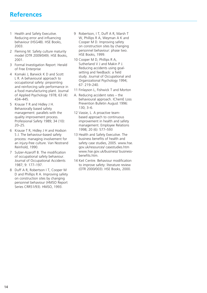## **References**

- 1 Health and Safety Executive. Reducing error and influencing behaviour (HSG48). HSE Books, 2003.
- 2 Fleming M. Safety culture maturity model (OTR 2009/049). HSE Books, 2001.
- 3 Formal Investigation Report: Herald of Free Enterprise
- 4 Komaki J, Barwick K D and Scott L R. A behavioural approach to occupational safety: pinpointing and reinforcing safe performance in a food manufacturing plant. Journal of Applied Psychology 1978; 63 (4): 434–445.
- 5 Krause T R and Hidley J H. Behaviorally based safety management: parallels with the quality improvement process. Professional Safety 1989; 34 (10): 20–25.
- 6 Krause T R, Hidley J H and Hodson S J. The behaviour-based safety process: managing involvement for an injury-free culture. Van Nostrand Reinhold, 1990.
- 7 Sulzer-Azaroff B. The modification of occupational safety behaviour. Journal of Occupational Accidents 1987; 9: 177–197.
- 8 Duff A R, Robertson I T, Cooper M D and Phillips R A. Improving safety on construction sites by changing personnel behaviour (HMSO Report Series CRR51/93). HMSO, 1993.
- 9 Robertson, I T, Duff A R, Marsh T W, Phillips R A, Weyman A K and Cooper M D. Improving safety on construction sites by changing personnel behaviour: phase two. HSE Books, 1999.
- 10 Cooper M D, Phillips R A, Sutherland V J and Makin P J. Reducing accidents using goalsetting and feedback: a field study. Journal of Occupational and Organizational Psychology 1994; 67: 219–240.
- 11 Finlayson L, Fishwick T and Morton
- A. Reducing accident rates the behavioural approach. IChemE Loss Prevention Bulletin August 1996: 130; 3–6.
- 12 Vassie, L. A proactive teambased approach to continuous improvement in health and safety management. Employee Relations 1998; 20 (6): 577–593
- 13 Health and Safety Executive. The business benefits of health and safety case studies, 2005. www.hse. gov.uk/resources/ casestudies.htm www.hse.gov.uk/business/ businessbenefits.htm.
- 14 Keil Centre. Behaviour modification to improve safety: literature review (OTR 2000/003). HSE Books, 2000.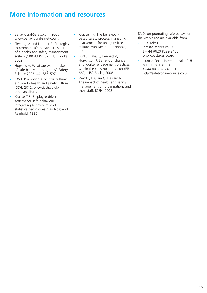# **More information and resources**

- Behavioural-Safety.com, 2005. www.behavioural-safety.com.
- Fleming M and Lardner R. Strategies to promote safe behaviour as part of a health and safety management system (CRR 430/2002). HSE Books, 2002.
- Hopkins A. What are we to make of safe behaviour programs? Safety Science 2006; 44: 583–597.
- IOSH. Promoting a positive culture: a guide to health and safety culture. IOSH, 2012. www.iosh.co.uk/ positiveculture.
- Krause T R. Employee-driven systems for safe behaviour – integrating behavioural and statistical techniques. Van Nostrand Reinhold, 1995.
- Krause T R. The behaviourbased safety process: managing involvement for an injury-free culture. Van Nostrand Reinhold, 1996.
- Lunt J, Bates S, Bennett V, Hopkinson J. Behaviour change and worker engagement practices within the construction sector (RR 660). HSE Books, 2008.
- Ward J, Haslam C, Haslam R. The impact of health and safety management on organisations and their staff. IOSH, 2008.

DVDs on promoting safe behaviour in the workplace are available from:

- Out-Takes info@outtakes.co.uk t + 44 (0)20 8289 2466 www.outtakes.co.uk
- Human Focus International info@ humanfocus.co.uk t +44 (0)1737 246331 http://safetyonlinecourse.co.uk.